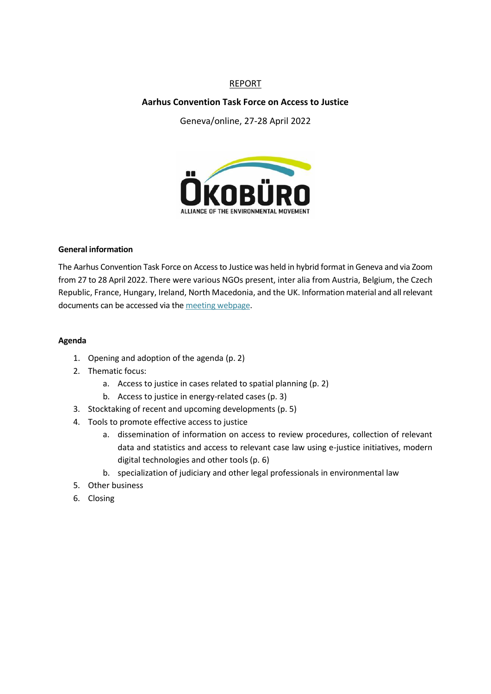# REPORT

## **Aarhus Convention Task Force on Access to Justice**

Geneva/online, 27-28 April 2022



#### **General information**

The Aarhus Convention Task Force on Access to Justice was held in hybrid format in Geneva and via Zoom from 27 to 28 April 2022. There were various NGOs present, inter alia from Austria, Belgium, the Czech Republic, France, Hungary, Ireland, North Macedonia, and the UK. Information material and all relevant documents can be accessed via the [meeting webpage.](https://unece.org/environmental-policy/events/fourteenth-meeting-task-force-access-justice-under-aarhus-convention#:~:text=Background,des%20Nations%2C%20Tempus%203).)

#### **Agenda**

- 1. Opening and adoption of the agenda (p. 2)
- 2. Thematic focus:
	- a. Access to justice in cases related to spatial planning (p. 2)
	- b. Access to justice in energy-related cases (p. 3)
- 3. Stocktaking of recent and upcoming developments (p. 5)
- 4. Tools to promote effective access to justice
	- a. dissemination of information on access to review procedures, collection of relevant data and statistics and access to relevant case law using e-justice initiatives, modern digital technologies and other tools (p. 6)
	- b. specialization of judiciary and other legal professionals in environmental law
- 5. Other business
- 6. Closing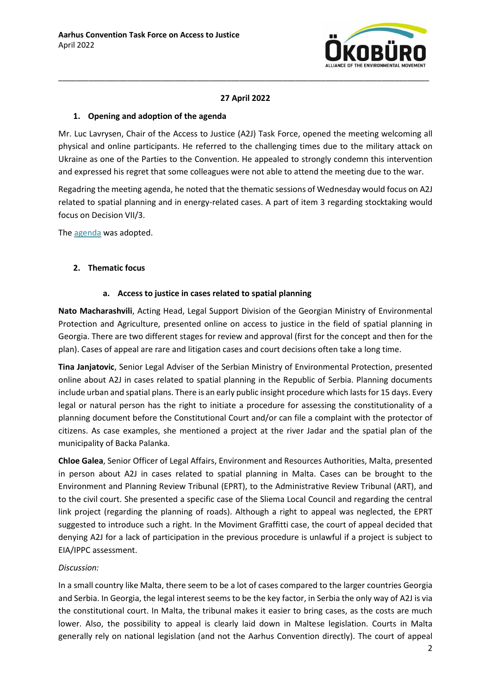

# **27 April 2022**

 $\_$  , and the set of the set of the set of the set of the set of the set of the set of the set of the set of the set of the set of the set of the set of the set of the set of the set of the set of the set of the set of th

### **1. Opening and adoption of the agenda**

Mr. Luc Lavrysen, Chair of the Access to Justice (A2J) Task Force, opened the meeting welcoming all physical and online participants. He referred to the challenging times due to the military attack on Ukraine as one of the Parties to the Convention. He appealed to strongly condemn this intervention and expressed his regret that some colleagues were not able to attend the meeting due to the war.

Regadring the meeting agenda, he noted that the thematic sessions of Wednesday would focus on A2J related to spatial planning and in energy-related cases. A part of item 3 regarding stocktaking would focus on Decision VII/3.

The [agenda](https://unece.org/sites/default/files/2022-03/14TFAJ_Inf1_ProvisionalAgenda_0.pdf) was adopted.

## **2. Thematic focus**

## **a. Access to justice in cases related to spatial planning**

**Nato Macharashvili**, Acting Head, Legal Support Division of the Georgian Ministry of Environmental Protection and Agriculture, presented online on access to justice in the field of spatial planning in Georgia. There are two different stages for review and approval (first for the concept and then for the plan). Cases of appeal are rare and litigation cases and court decisions often take a long time.

**Tina Janjatovic**, Senior Legal Adviser of the Serbian Ministry of Environmental Protection, presented online about A2J in cases related to spatial planning in the Republic of Serbia. Planning documents include urban and spatial plans. There is an early public insight procedure which lasts for 15 days. Every legal or natural person has the right to initiate a procedure for assessing the constitutionality of a planning document before the Constitutional Court and/or can file a complaint with the protector of citizens. As case examples, she mentioned a project at the river Jadar and the spatial plan of the municipality of Backa Palanka.

**Chloe Galea**, Senior Officer of Legal Affairs, Environment and Resources Authorities, Malta, presented in person about A2J in cases related to spatial planning in Malta. Cases can be brought to the Environment and Planning Review Tribunal (EPRT), to the Administrative Review Tribunal (ART), and to the civil court. She presented a specific case of the Sliema Local Council and regarding the central link project (regarding the planning of roads). Although a right to appeal was neglected, the EPRT suggested to introduce such a right. In the Moviment Graffitti case, the court of appeal decided that denying A2J for a lack of participation in the previous procedure is unlawful if a project is subject to EIA/IPPC assessment.

## *Discussion:*

In a small country like Malta, there seem to be a lot of cases compared to the larger countries Georgia and Serbia. In Georgia, the legal interest seems to be the key factor, in Serbia the only way of A2J is via the constitutional court. In Malta, the tribunal makes it easier to bring cases, as the costs are much lower. Also, the possibility to appeal is clearly laid down in Maltese legislation. Courts in Malta generally rely on national legislation (and not the Aarhus Convention directly). The court of appeal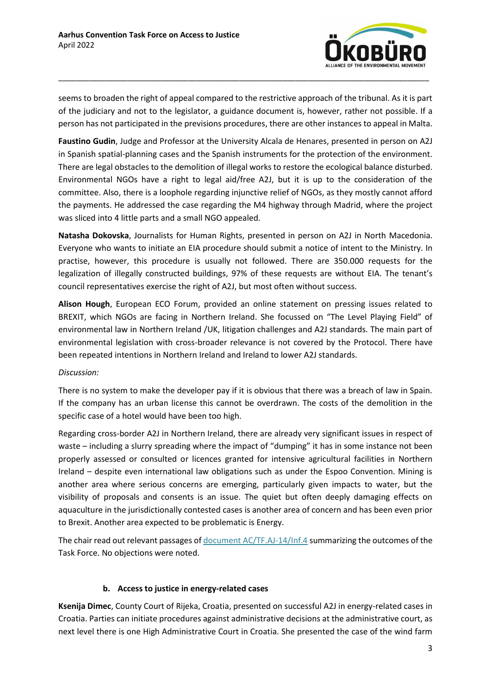

seems to broaden the right of appeal compared to the restrictive approach of the tribunal. As it is part of the judiciary and not to the legislator, a guidance document is, however, rather not possible. If a person has not participated in the previsions procedures, there are other instances to appeal in Malta.

 $\_$  , and the set of the set of the set of the set of the set of the set of the set of the set of the set of the set of the set of the set of the set of the set of the set of the set of the set of the set of the set of th

**Faustino Gudin**, Judge and Professor at the University Alcala de Henares, presented in person on A2J in Spanish spatial-planning cases and the Spanish instruments for the protection of the environment. There are legal obstacles to the demolition of illegal works to restore the ecological balance disturbed. Environmental NGOs have a right to legal aid/free A2J, but it is up to the consideration of the committee. Also, there is a loophole regarding injunctive relief of NGOs, as they mostly cannot afford the payments. He addressed the case regarding the M4 highway through Madrid, where the project was sliced into 4 little parts and a small NGO appealed.

**Natasha Dokovska**, Journalists for Human Rights, presented in person on A2J in North Macedonia. Everyone who wants to initiate an EIA procedure should submit a notice of intent to the Ministry. In practise, however, this procedure is usually not followed. There are 350.000 requests for the legalization of illegally constructed buildings, 97% of these requests are without EIA. The tenant's council representatives exercise the right of A2J, but most often without success.

**Alison Hough**, European ECO Forum, provided an online statement on pressing issues related to BREXIT, which NGOs are facing in Northern Ireland. She focussed on "The Level Playing Field" of environmental law in Northern Ireland /UK, litigation challenges and A2J standards. The main part of environmental legislation with cross-broader relevance is not covered by the Protocol. There have been repeated intentions in Northern Ireland and Ireland to lower A2J standards.

## *Discussion:*

There is no system to make the developer pay if it is obvious that there was a breach of law in Spain. If the company has an urban license this cannot be overdrawn. The costs of the demolition in the specific case of a hotel would have been too high.

Regarding cross-border A2J in Northern Ireland, there are already very significant issues in respect of waste – including a slurry spreading where the impact of "dumping" it has in some instance not been properly assessed or consulted or licences granted for intensive agricultural facilities in Northern Ireland – despite even international law obligations such as under the Espoo Convention. Mining is another area where serious concerns are emerging, particularly given impacts to water, but the visibility of proposals and consents is an issue. The quiet but often deeply damaging effects on aquaculture in the jurisdictionally contested cases is another area of concern and has been even prior to Brexit. Another area expected to be problematic is Energy.

The chair read out relevant passages o[f document AC/TF.AJ-14/Inf.4](https://unece.org/sites/default/files/2022-04/14TF.AJ_Inf.4_KeyOutcomes_final.pdf) summarizing the outcomes of the Task Force. No objections were noted.

## **b. Access to justice in energy-related cases**

**Ksenija Dimec**, County Court of Rijeka, Croatia, presented on successful A2J in energy-related cases in Croatia. Parties can initiate procedures against administrative decisions at the administrative court, as next level there is one High Administrative Court in Croatia. She presented the case of the wind farm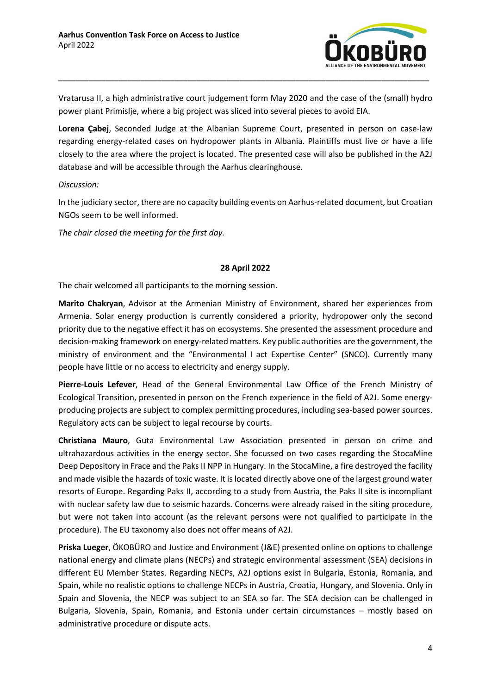

Vratarusa II, a high administrative court judgement form May 2020 and the case of the (small) hydro power plant Primislje, where a big project was sliced into several pieces to avoid EIA.

 $\_$  , and the set of the set of the set of the set of the set of the set of the set of the set of the set of the set of the set of the set of the set of the set of the set of the set of the set of the set of the set of th

**Lorena Çabej**, Seconded Judge at the Albanian Supreme Court, presented in person on case-law regarding energy-related cases on hydropower plants in Albania. Plaintiffs must live or have a life closely to the area where the project is located. The presented case will also be published in the A2J database and will be accessible through the Aarhus clearinghouse.

*Discussion:*

In the judiciary sector, there are no capacity building events on Aarhus-related document, but Croatian NGOs seem to be well informed.

*The chair closed the meeting for the first day.*

#### **28 April 2022**

The chair welcomed all participants to the morning session.

**Marito Chakryan**, Advisor at the Armenian Ministry of Environment, shared her experiences from Armenia. Solar energy production is currently considered a priority, hydropower only the second priority due to the negative effect it has on ecosystems. She presented the assessment procedure and decision-making framework on energy-related matters. Key public authorities are the government, the ministry of environment and the "Environmental I act Expertise Center" (SNCO). Currently many people have little or no access to electricity and energy supply.

**Pierre-Louis Lefever**, Head of the General Environmental Law Office of the French Ministry of Ecological Transition, presented in person on the French experience in the field of A2J. Some energyproducing projects are subject to complex permitting procedures, including sea-based power sources. Regulatory acts can be subject to legal recourse by courts.

**Christiana Mauro**, Guta Environmental Law Association presented in person on crime and ultrahazardous activities in the energy sector. She focussed on two cases regarding the StocaMine Deep Depository in Frace and the Paks II NPP in Hungary. In the StocaMine, a fire destroyed the facility and made visible the hazards of toxic waste. It is located directly above one of the largest ground water resorts of Europe. Regarding Paks II, according to a study from Austria, the Paks II site is incompliant with nuclear safety law due to seismic hazards. Concerns were already raised in the siting procedure, but were not taken into account (as the relevant persons were not qualified to participate in the procedure). The EU taxonomy also does not offer means of A2J.

**Priska Lueger**, ÖKOBÜRO and Justice and Environment (J&E) presented online on options to challenge national energy and climate plans (NECPs) and strategic environmental assessment (SEA) decisions in different EU Member States. Regarding NECPs, A2J options exist in Bulgaria, Estonia, Romania, and Spain, while no realistic options to challenge NECPs in Austria, Croatia, Hungary, and Slovenia. Only in Spain and Slovenia, the NECP was subject to an SEA so far. The SEA decision can be challenged in Bulgaria, Slovenia, Spain, Romania, and Estonia under certain circumstances – mostly based on administrative procedure or dispute acts.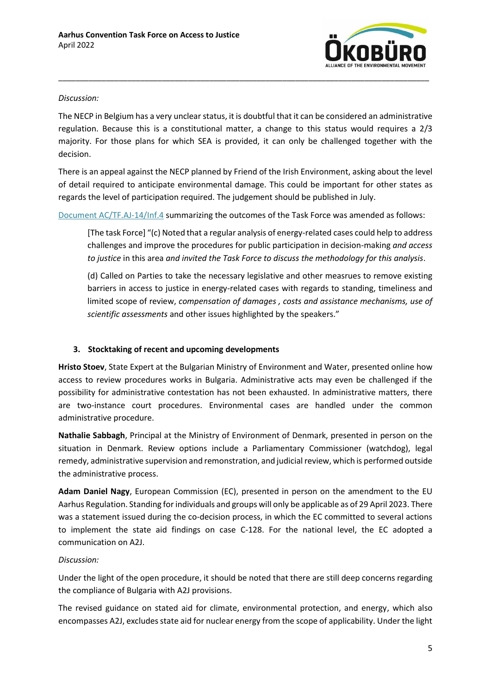

#### *Discussion:*

The NECP in Belgium has a very unclear status, it is doubtful that it can be considered an administrative regulation. Because this is a constitutional matter, a change to this status would requires a 2/3 majority. For those plans for which SEA is provided, it can only be challenged together with the decision.

 $\_$  , and the set of the set of the set of the set of the set of the set of the set of the set of the set of the set of the set of the set of the set of the set of the set of the set of the set of the set of the set of th

There is an appeal against the NECP planned by Friend of the Irish Environment, asking about the level of detail required to anticipate environmental damage. This could be important for other states as regards the level of participation required. The judgement should be published in July.

[Document AC/TF.AJ-14/Inf.4](https://unece.org/sites/default/files/2022-04/14TF.AJ_Inf.4_KeyOutcomes_final.pdf) summarizing the outcomes of the Task Force was amended as follows:

[The task Force] "(c) Noted that a regular analysis of energy-related cases could help to address challenges and improve the procedures for public participation in decision-making *and access to justice* in this area *and invited the Task Force to discuss the methodology for this analysis*.

(d) Called on Parties to take the necessary legislative and other measrues to remove existing barriers in access to justice in energy-related cases with regards to standing, timeliness and limited scope of review, *compensation of damages , costs and assistance mechanisms, use of scientific assessments* and other issues highlighted by the speakers."

## **3. Stocktaking of recent and upcoming developments**

**Hristo Stoev**, State Expert at the Bulgarian Ministry of Environment and Water, presented online how access to review procedures works in Bulgaria. Administrative acts may even be challenged if the possibility for administrative contestation has not been exhausted. In administrative matters, there are two-instance court procedures. Environmental cases are handled under the common administrative procedure.

**Nathalie Sabbagh**, Principal at the Ministry of Environment of Denmark, presented in person on the situation in Denmark. Review options include a Parliamentary Commissioner (watchdog), legal remedy, administrative supervision and remonstration, and judicial review, which is performed outside the administrative process.

**Adam Daniel Nagy**, European Commission (EC), presented in person on the amendment to the EU Aarhus Regulation. Standing for individuals and groups will only be applicable as of 29 April 2023. There was a statement issued during the co-decision process, in which the EC committed to several actions to implement the state aid findings on case C-128. For the national level, the EC adopted a communication on A2J.

## *Discussion:*

Under the light of the open procedure, it should be noted that there are still deep concerns regarding the compliance of Bulgaria with A2J provisions.

The revised guidance on stated aid for climate, environmental protection, and energy, which also encompasses A2J, excludes state aid for nuclear energy from the scope of applicability. Under the light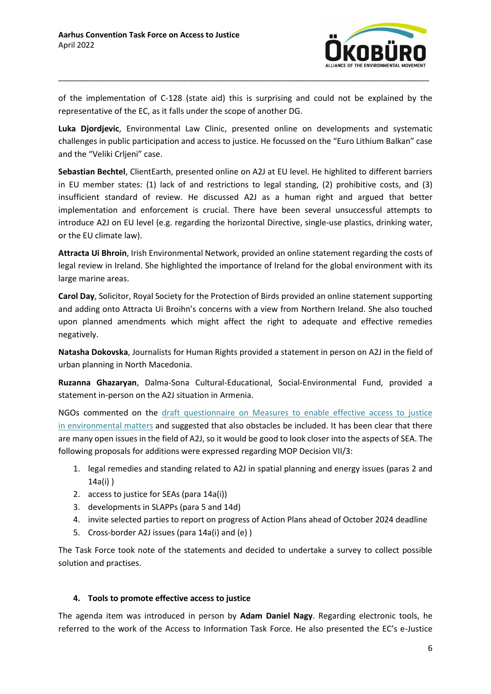

of the implementation of C-128 (state aid) this is surprising and could not be explained by the representative of the EC, as it falls under the scope of another DG.

 $\_$  , and the set of the set of the set of the set of the set of the set of the set of the set of the set of the set of the set of the set of the set of the set of the set of the set of the set of the set of the set of th

**Luka Djordjevic**, Environmental Law Clinic, presented online on developments and systematic challenges in public participation and access to justice. He focussed on the "Euro Lithium Balkan" case and the "Veliki Crljeni" case.

**Sebastian Bechtel**, ClientEarth, presented online on A2J at EU level. He highlited to different barriers in EU member states: (1) lack of and restrictions to legal standing, (2) prohibitive costs, and (3) insufficient standard of review. He discussed A2J as a human right and argued that better implementation and enforcement is crucial. There have been several unsuccessful attempts to introduce A2J on EU level (e.g. regarding the horizontal Directive, single-use plastics, drinking water, or the EU climate law).

**Attracta Ui Bhroin**, Irish Environmental Network, provided an online statement regarding the costs of legal review in Ireland. She highlighted the importance of Ireland for the global environment with its large marine areas.

**Carol Day**, Solicitor, Royal Society for the Protection of Birds provided an online statement supporting and adding onto Attracta Ui Broihn's concerns with a view from Northern Ireland. She also touched upon planned amendments which might affect the right to adequate and effective remedies negatively.

**Natasha Dokovska**, Journalists for Human Rights provided a statement in person on A2J in the field of urban planning in North Macedonia.

**Ruzanna Ghazaryan**, Dalma-Sona Cultural-Educational, Social-Environmental Fund, provided a statement in-person on the A2J situation in Armenia.

NGOs commented on the draft questionnaire [on Measures to enable effective access to justice](https://unece.org/sites/default/files/2022-04/14TFAJ_Inf3_Draft_survey_enablers_AJ_draft.docx)  [in environmental matters](https://unece.org/sites/default/files/2022-04/14TFAJ_Inf3_Draft_survey_enablers_AJ_draft.docx) and suggested that also obstacles be included. It has been clear that there are many open issues in the field of A2J, so it would be good to look closer into the aspects of SEA. The following proposals for additions were expressed regarding MOP Decision VII/3:

- 1. legal remedies and standing related to A2J in spatial planning and energy issues (paras 2 and 14a(i) )
- 2. access to justice for SEAs (para 14a(i))
- 3. developments in SLAPPs (para 5 and 14d)
- 4. invite selected parties to report on progress of Action Plans ahead of October 2024 deadline
- 5. Cross-border A2J issues (para 14a(i) and (e) )

The Task Force took note of the statements and decided to undertake a survey to collect possible solution and practises.

## **4. Tools to promote effective access to justice**

The agenda item was introduced in person by **Adam Daniel Nagy**. Regarding electronic tools, he referred to the work of the Access to Information Task Force. He also presented the EC's e-Justice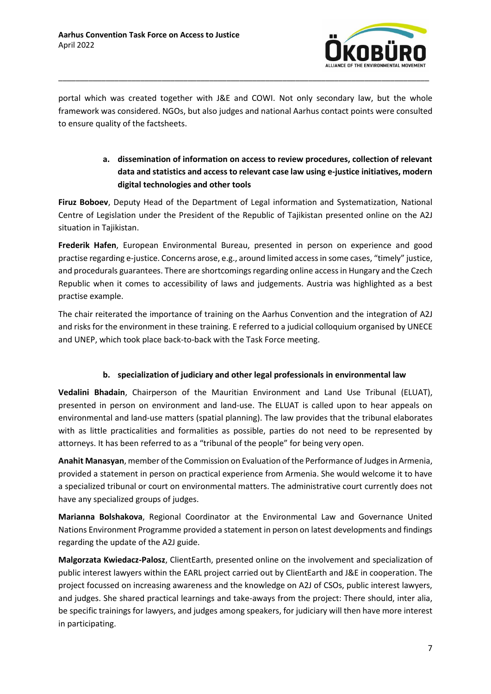

portal which was created together with J&E and COWI. Not only secondary law, but the whole framework was considered. NGOs, but also judges and national Aarhus contact points were consulted to ensure quality of the factsheets.

 $\_$  , and the set of the set of the set of the set of the set of the set of the set of the set of the set of the set of the set of the set of the set of the set of the set of the set of the set of the set of the set of th

# **a. dissemination of information on access to review procedures, collection of relevant data and statistics and access to relevant case law using e-justice initiatives, modern digital technologies and other tools**

**Firuz Boboev**, Deputy Head of the Department of Legal information and Systematization, National Centre of Legislation under the President of the Republic of Tajikistan presented online on the A2J situation in Tajikistan.

**Frederik Hafen**, European Environmental Bureau, presented in person on experience and good practise regarding e-justice. Concerns arose, e.g., around limited access in some cases, "timely" justice, and procedurals guarantees. There are shortcomings regarding online access in Hungary and the Czech Republic when it comes to accessibility of laws and judgements. Austria was highlighted as a best practise example.

The chair reiterated the importance of training on the Aarhus Convention and the integration of A2J and risks for the environment in these training. E referred to a judicial colloquium organised by UNECE and UNEP, which took place back-to-back with the Task Force meeting.

# **b. specialization of judiciary and other legal professionals in environmental law**

**Vedalini Bhadain**, Chairperson of the Mauritian Environment and Land Use Tribunal (ELUAT), presented in person on environment and land-use. The ELUAT is called upon to hear appeals on environmental and land-use matters (spatial planning). The law provides that the tribunal elaborates with as little practicalities and formalities as possible, parties do not need to be represented by attorneys. It has been referred to as a "tribunal of the people" for being very open.

**Anahit Manasyan**, member of the Commission on Evaluation of the Performance of Judges in Armenia, provided a statement in person on practical experience from Armenia. She would welcome it to have a specialized tribunal or court on environmental matters. The administrative court currently does not have any specialized groups of judges.

**Marianna Bolshakova**, Regional Coordinator at the Environmental Law and Governance United Nations Environment Programme provided a statement in person on latest developments and findings regarding the update of the A2J guide.

**Malgorzata Kwiedacz-Palosz**, ClientEarth, presented online on the involvement and specialization of public interest lawyers within the EARL project carried out by ClientEarth and J&E in cooperation. The project focussed on increasing awareness and the knowledge on A2J of CSOs, public interest lawyers, and judges. She shared practical learnings and take-aways from the project: There should, inter alia, be specific trainings for lawyers, and judges among speakers, for judiciary will then have more interest in participating.